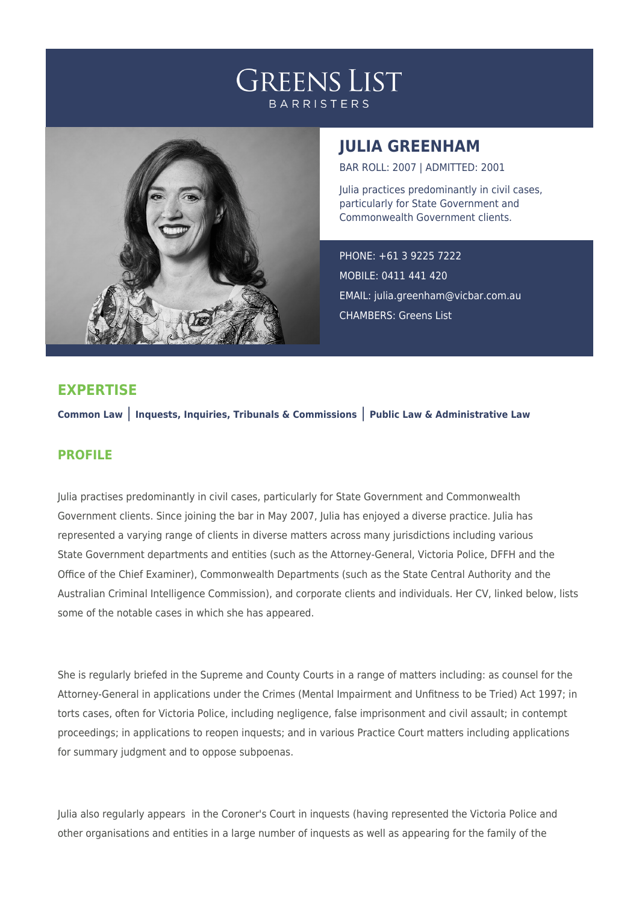



## **JULIA GREENHAM**

BAR ROLL: 2007 | ADMITTED: 2001

Julia practices predominantly in civil cases, particularly for State Government and Commonwealth Government clients.

PHONE: +61 3 9225 7222 MOBILE: 0411 441 420 EMAIL: [julia.greenham@vicbar.com.au](mailto:julia.greenham@vicbar.com.au) CHAMBERS: Greens List

## **EXPERTISE**

**Common Law** | **Inquests, Inquiries, Tribunals & Commissions** | **Public Law & Administrative Law**

## **PROFILE**

Julia practises predominantly in civil cases, particularly for State Government and Commonwealth Government clients. Since joining the bar in May 2007, Julia has enjoyed a diverse practice. Julia has represented a varying range of clients in diverse matters across many jurisdictions including various State Government departments and entities (such as the Attorney-General, Victoria Police, DFFH and the Office of the Chief Examiner), Commonwealth Departments (such as the State Central Authority and the Australian Criminal Intelligence Commission), and corporate clients and individuals. Her CV, linked below, lists some of the notable cases in which she has appeared.

She is regularly briefed in the Supreme and County Courts in a range of matters including: as counsel for the Attorney-General in applications under the Crimes (Mental Impairment and Unfitness to be Tried) Act 1997; in torts cases, often for Victoria Police, including negligence, false imprisonment and civil assault; in contempt proceedings; in applications to reopen inquests; and in various Practice Court matters including applications for summary judgment and to oppose subpoenas.

Julia also regularly appears in the Coroner's Court in inquests (having represented the Victoria Police and other organisations and entities in a large number of inquests as well as appearing for the family of the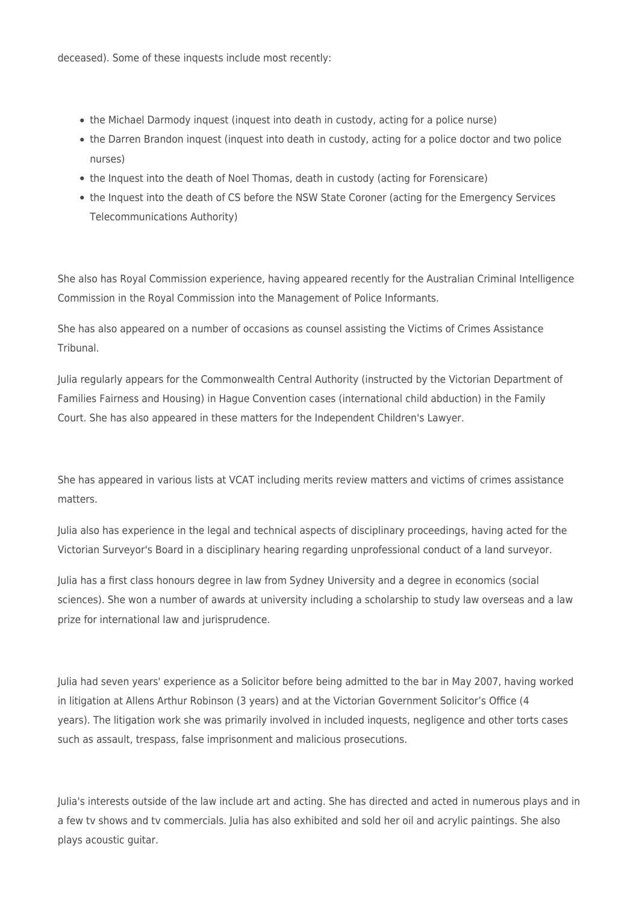deceased). Some of these inquests include most recently:

- the Michael Darmody inquest (inquest into death in custody, acting for a police nurse)
- the Darren Brandon inquest (inquest into death in custody, acting for a police doctor and two police nurses)
- the Inquest into the death of Noel Thomas, death in custody (acting for Forensicare)
- the Inquest into the death of CS before the NSW State Coroner (acting for the Emergency Services Telecommunications Authority)

She also has Royal Commission experience, having appeared recently for the Australian Criminal Intelligence Commission in the Royal Commission into the Management of Police Informants.

She has also appeared on a number of occasions as counsel assisting the Victims of Crimes Assistance Tribunal.

Julia regularly appears for the Commonwealth Central Authority (instructed by the Victorian Department of Families Fairness and Housing) in Hague Convention cases (international child abduction) in the Family Court. She has also appeared in these matters for the Independent Children's Lawyer.

She has appeared in various lists at VCAT including merits review matters and victims of crimes assistance matters.

Julia also has experience in the legal and technical aspects of disciplinary proceedings, having acted for the Victorian Surveyor's Board in a disciplinary hearing regarding unprofessional conduct of a land surveyor.

Julia has a first class honours degree in law from Sydney University and a degree in economics (social sciences). She won a number of awards at university including a scholarship to study law overseas and a law prize for international law and jurisprudence.

Julia had seven years' experience as a Solicitor before being admitted to the bar in May 2007, having worked in litigation at Allens Arthur Robinson (3 years) and at the Victorian Government Solicitor's Office (4 years). The litigation work she was primarily involved in included inquests, negligence and other torts cases such as assault, trespass, false imprisonment and malicious prosecutions.

Julia's interests outside of the law include art and acting. She has directed and acted in numerous plays and in a few tv shows and tv commercials. Julia has also exhibited and sold her oil and acrylic paintings. She also plays acoustic guitar.